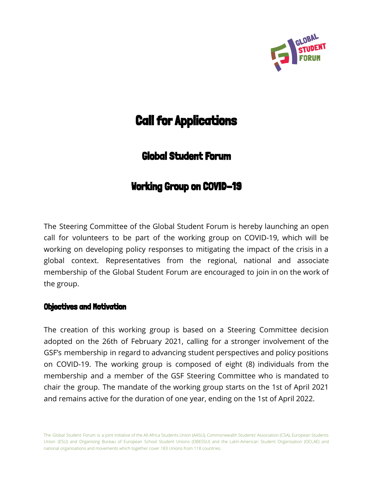

# **Call for Applications**

# Global Student Forum

# Working Group on COVID-19

The Steering Committee of the Global Student Forum is hereby launching an open call for volunteers to be part of the working group on COVID-19, which will be working on developing policy responses to mitigating the impact of the crisis in a global context. Representatives from the regional, national and associate membership of the Global Student Forum are encouraged to join in on the work of the group.

## Objectives and Motivation

The creation of this working group is based on a Steering Committee decision adopted on the 26th of February 2021, calling for a stronger involvement of the GSF's membership in regard to advancing student perspectives and policy positions on COVID-19. The working group is composed of eight (8) individuals from the membership and a member of the GSF Steering Committee who is mandated to chair the group. The mandate of the working group starts on the 1st of April 2021 and remains active for the duration of one year, ending on the 1st of April 2022.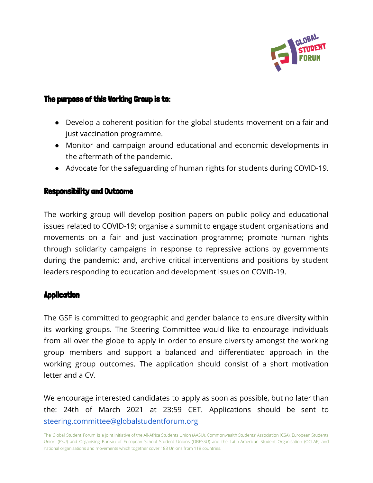

# The purpose of this Working Group is to:

- Develop a coherent position for the global students movement on a fair and just vaccination programme.
- Monitor and campaign around educational and economic developments in the aftermath of the pandemic.
- Advocate for the safeguarding of human rights for students during COVID-19.

#### Responsibility and Outcome

The working group will develop position papers on public policy and educational issues related to COVID-19; organise a summit to engage student organisations and movements on a fair and just vaccination programme; promote human rights through solidarity campaigns in response to repressive actions by governments during the pandemic; and, archive critical interventions and positions by student leaders responding to education and development issues on COVID-19.

## Application

The GSF is committed to geographic and gender balance to ensure diversity within its working groups. The Steering Committee would like to encourage individuals from all over the globe to apply in order to ensure diversity amongst the working group members and support a balanced and differentiated approach in the working group outcomes. The application should consist of a short motivation letter and a CV.

We encourage interested candidates to apply as soon as possible, but no later than the: 24th of March 2021 at 23:59 CET. Applications should be sent to steering.committee@globalstudentforum.org

The Global Student Forum is a joint initiative of the All-Africa Students Union (AASU), Commonwealth Students' Association (CSA), European Students Union (ESU) and Organising Bureau of European School Student Unions (OBESSU) and the Latin-American Student Organisation (OCLAE) and national organisations and movements which together cover 183 Unions from 118 countries.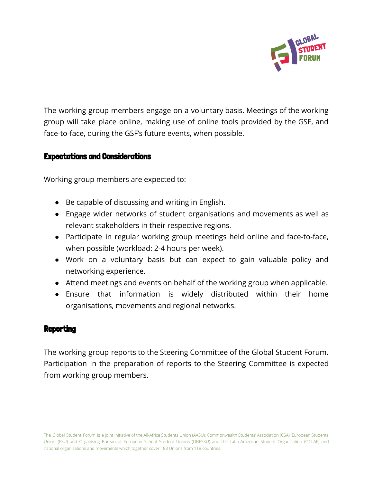

The working group members engage on a voluntary basis. Meetings of the working group will take place online, making use of online tools provided by the GSF, and face-to-face, during the GSF's future events, when possible.

## Expectations and Considerations

Working group members are expected to:

- Be capable of discussing and writing in English.
- Engage wider networks of student organisations and movements as well as relevant stakeholders in their respective regions.
- Participate in regular working group meetings held online and face-to-face, when possible (workload: 2-4 hours per week).
- Work on a voluntary basis but can expect to gain valuable policy and networking experience.
- Attend meetings and events on behalf of the working group when applicable.
- Ensure that information is widely distributed within their home organisations, movements and regional networks.

#### **Reporting**

The working group reports to the Steering Committee of the Global Student Forum. Participation in the preparation of reports to the Steering Committee is expected from working group members.